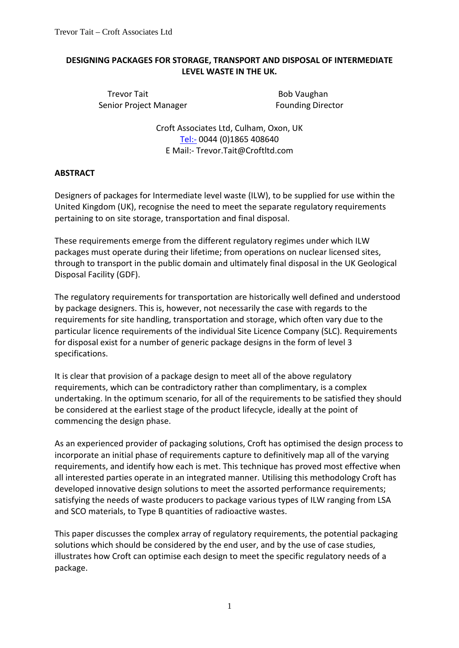## **DESIGNING PACKAGES FOR STORAGE, TRANSPORT AND DISPOSAL OF INTERMEDIATE LEVEL WASTE IN THE UK.**

Trevor Tait **Bob Vaughan** Senior Project Manager **Founding Director** 

Croft Associates Ltd, Culham, Oxon, UK [Tel:-](tel:-) 0044 (0)1865 408640 E Mail:- Trevor.Tait@Croftltd.com

# **ABSTRACT**

Designers of packages for Intermediate level waste (ILW), to be supplied for use within the United Kingdom (UK), recognise the need to meet the separate regulatory requirements pertaining to on site storage, transportation and final disposal.

These requirements emerge from the different regulatory regimes under which ILW packages must operate during their lifetime; from operations on nuclear licensed sites, through to transport in the public domain and ultimately final disposal in the UK Geological Disposal Facility (GDF).

The regulatory requirements for transportation are historically well defined and understood by package designers. This is, however, not necessarily the case with regards to the requirements for site handling, transportation and storage, which often vary due to the particular licence requirements of the individual Site Licence Company (SLC). Requirements for disposal exist for a number of generic package designs in the form of level 3 specifications.

It is clear that provision of a package design to meet all of the above regulatory requirements, which can be contradictory rather than complimentary, is a complex undertaking. In the optimum scenario, for all of the requirements to be satisfied they should be considered at the earliest stage of the product lifecycle, ideally at the point of commencing the design phase.

As an experienced provider of packaging solutions, Croft has optimised the design process to incorporate an initial phase of requirements capture to definitively map all of the varying requirements, and identify how each is met. This technique has proved most effective when all interested parties operate in an integrated manner. Utilising this methodology Croft has developed innovative design solutions to meet the assorted performance requirements; satisfying the needs of waste producers to package various types of ILW ranging from LSA and SCO materials, to Type B quantities of radioactive wastes.

This paper discusses the complex array of regulatory requirements, the potential packaging solutions which should be considered by the end user, and by the use of case studies, illustrates how Croft can optimise each design to meet the specific regulatory needs of a package.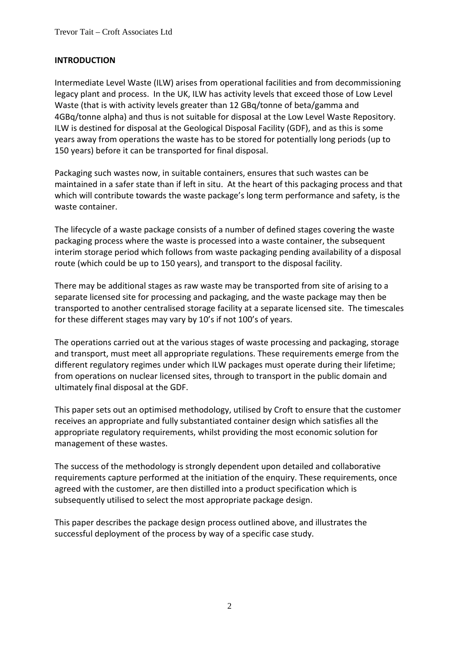## **INTRODUCTION**

Intermediate Level Waste (ILW) arises from operational facilities and from decommissioning legacy plant and process. In the UK, ILW has activity levels that exceed those of Low Level Waste (that is with activity levels greater than 12 GBq/tonne of beta/gamma and 4GBq/tonne alpha) and thus is not suitable for disposal at the Low Level Waste Repository. ILW is destined for disposal at the Geological Disposal Facility (GDF), and as this is some years away from operations the waste has to be stored for potentially long periods (up to 150 years) before it can be transported for final disposal.

Packaging such wastes now, in suitable containers, ensures that such wastes can be maintained in a safer state than if left in situ. At the heart of this packaging process and that which will contribute towards the waste package's long term performance and safety, is the waste container.

The lifecycle of a waste package consists of a number of defined stages covering the waste packaging process where the waste is processed into a waste container, the subsequent interim storage period which follows from waste packaging pending availability of a disposal route (which could be up to 150 years), and transport to the disposal facility.

There may be additional stages as raw waste may be transported from site of arising to a separate licensed site for processing and packaging, and the waste package may then be transported to another centralised storage facility at a separate licensed site. The timescales for these different stages may vary by 10's if not 100's of years.

The operations carried out at the various stages of waste processing and packaging, storage and transport, must meet all appropriate regulations. These requirements emerge from the different regulatory regimes under which ILW packages must operate during their lifetime; from operations on nuclear licensed sites, through to transport in the public domain and ultimately final disposal at the GDF.

This paper sets out an optimised methodology, utilised by Croft to ensure that the customer receives an appropriate and fully substantiated container design which satisfies all the appropriate regulatory requirements, whilst providing the most economic solution for management of these wastes.

The success of the methodology is strongly dependent upon detailed and collaborative requirements capture performed at the initiation of the enquiry. These requirements, once agreed with the customer, are then distilled into a product specification which is subsequently utilised to select the most appropriate package design.

This paper describes the package design process outlined above, and illustrates the successful deployment of the process by way of a specific case study.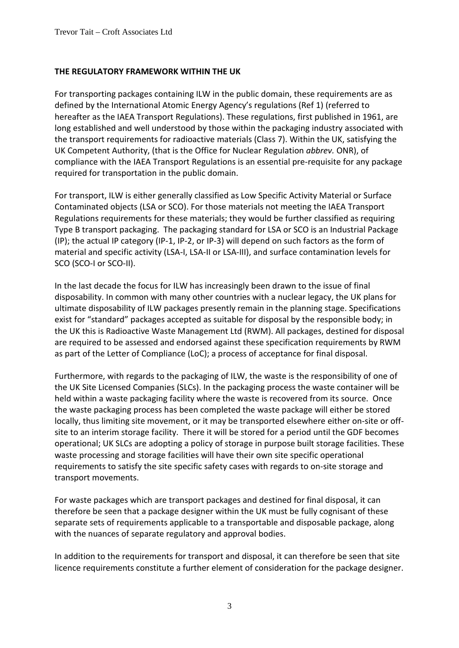## **THE REGULATORY FRAMEWORK WITHIN THE UK**

For transporting packages containing ILW in the public domain, these requirements are as defined by the International Atomic Energy Agency's regulations (Ref 1) (referred to hereafter as the IAEA Transport Regulations). These regulations, first published in 1961, are long established and well understood by those within the packaging industry associated with the transport requirements for radioactive materials (Class 7). Within the UK, satisfying the UK Competent Authority, (that is the Office for Nuclear Regulation *abbrev.* ONR), of compliance with the IAEA Transport Regulations is an essential pre-requisite for any package required for transportation in the public domain.

For transport, ILW is either generally classified as Low Specific Activity Material or Surface Contaminated objects (LSA or SCO). For those materials not meeting the IAEA Transport Regulations requirements for these materials; they would be further classified as requiring Type B transport packaging. The packaging standard for LSA or SCO is an Industrial Package (IP); the actual IP category (IP-1, IP-2, or IP-3) will depend on such factors as the form of material and specific activity (LSA-I, LSA-II or LSA-III), and surface contamination levels for SCO (SCO-I or SCO-II).

In the last decade the focus for ILW has increasingly been drawn to the issue of final disposability. In common with many other countries with a nuclear legacy, the UK plans for ultimate disposability of ILW packages presently remain in the planning stage. Specifications exist for "standard" packages accepted as suitable for disposal by the responsible body; in the UK this is Radioactive Waste Management Ltd (RWM). All packages, destined for disposal are required to be assessed and endorsed against these specification requirements by RWM as part of the Letter of Compliance (LoC); a process of acceptance for final disposal.

Furthermore, with regards to the packaging of ILW, the waste is the responsibility of one of the UK Site Licensed Companies (SLCs). In the packaging process the waste container will be held within a waste packaging facility where the waste is recovered from its source. Once the waste packaging process has been completed the waste package will either be stored locally, thus limiting site movement, or it may be transported elsewhere either on-site or offsite to an interim storage facility. There it will be stored for a period until the GDF becomes operational; UK SLCs are adopting a policy of storage in purpose built storage facilities. These waste processing and storage facilities will have their own site specific operational requirements to satisfy the site specific safety cases with regards to on-site storage and transport movements.

For waste packages which are transport packages and destined for final disposal, it can therefore be seen that a package designer within the UK must be fully cognisant of these separate sets of requirements applicable to a transportable and disposable package, along with the nuances of separate regulatory and approval bodies.

In addition to the requirements for transport and disposal, it can therefore be seen that site licence requirements constitute a further element of consideration for the package designer.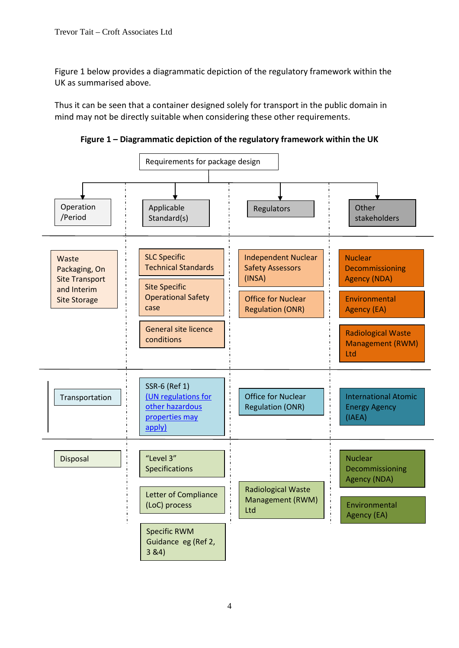Figure 1 below provides a diagrammatic depiction of the regulatory framework within the UK as summarised above.

Thus it can be seen that a container designed solely for transport in the public domain in mind may not be directly suitable when considering these other requirements.

**Figure 1 – Diagrammatic depiction of the regulatory framework within the UK**

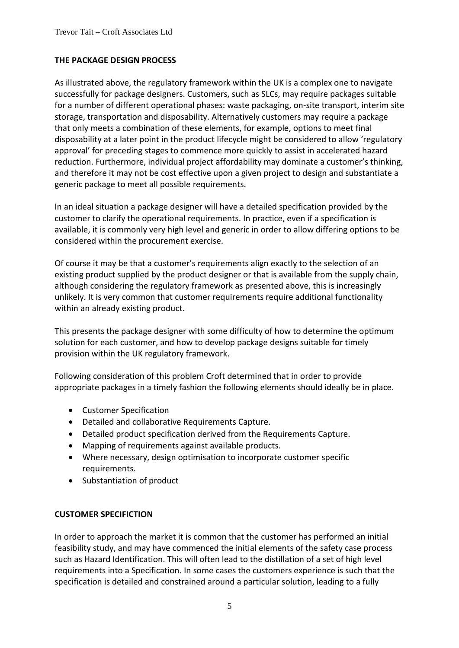## **THE PACKAGE DESIGN PROCESS**

As illustrated above, the regulatory framework within the UK is a complex one to navigate successfully for package designers. Customers, such as SLCs, may require packages suitable for a number of different operational phases: waste packaging, on-site transport, interim site storage, transportation and disposability. Alternatively customers may require a package that only meets a combination of these elements, for example, options to meet final disposability at a later point in the product lifecycle might be considered to allow 'regulatory approval' for preceding stages to commence more quickly to assist in accelerated hazard reduction. Furthermore, individual project affordability may dominate a customer's thinking, and therefore it may not be cost effective upon a given project to design and substantiate a generic package to meet all possible requirements.

In an ideal situation a package designer will have a detailed specification provided by the customer to clarify the operational requirements. In practice, even if a specification is available, it is commonly very high level and generic in order to allow differing options to be considered within the procurement exercise.

Of course it may be that a customer's requirements align exactly to the selection of an existing product supplied by the product designer or that is available from the supply chain, although considering the regulatory framework as presented above, this is increasingly unlikely. It is very common that customer requirements require additional functionality within an already existing product.

This presents the package designer with some difficulty of how to determine the optimum solution for each customer, and how to develop package designs suitable for timely provision within the UK regulatory framework.

Following consideration of this problem Croft determined that in order to provide appropriate packages in a timely fashion the following elements should ideally be in place.

- Customer Specification
- Detailed and collaborative Requirements Capture.
- Detailed product specification derived from the Requirements Capture.
- Mapping of requirements against available products.
- Where necessary, design optimisation to incorporate customer specific requirements.
- Substantiation of product

### **CUSTOMER SPECIFICTION**

In order to approach the market it is common that the customer has performed an initial feasibility study, and may have commenced the initial elements of the safety case process such as Hazard Identification. This will often lead to the distillation of a set of high level requirements into a Specification. In some cases the customers experience is such that the specification is detailed and constrained around a particular solution, leading to a fully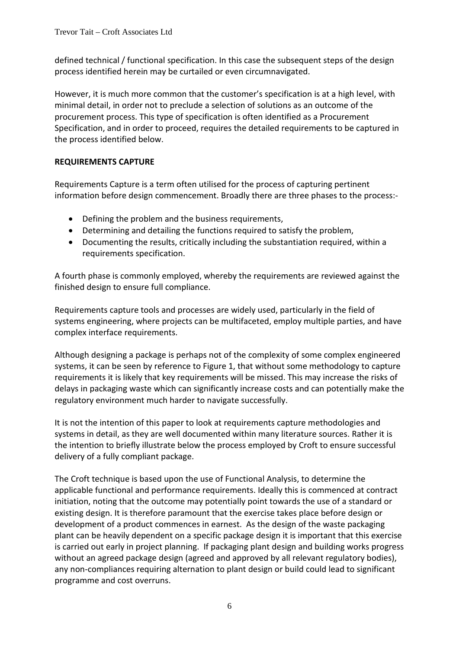defined technical / functional specification. In this case the subsequent steps of the design process identified herein may be curtailed or even circumnavigated.

However, it is much more common that the customer's specification is at a high level, with minimal detail, in order not to preclude a selection of solutions as an outcome of the procurement process. This type of specification is often identified as a Procurement Specification, and in order to proceed, requires the detailed requirements to be captured in the process identified below.

# **REQUIREMENTS CAPTURE**

Requirements Capture is a term often utilised for the process of capturing pertinent information before design commencement. Broadly there are three phases to the process:-

- Defining the problem and the business requirements,
- Determining and detailing the functions required to satisfy the problem,
- Documenting the results, critically including the substantiation required, within a requirements specification.

A fourth phase is commonly employed, whereby the requirements are reviewed against the finished design to ensure full compliance.

Requirements capture tools and processes are widely used, particularly in the field of systems engineering, where projects can be multifaceted, employ multiple parties, and have complex interface requirements.

Although designing a package is perhaps not of the complexity of some complex engineered systems, it can be seen by reference to Figure 1, that without some methodology to capture requirements it is likely that key requirements will be missed. This may increase the risks of delays in packaging waste which can significantly increase costs and can potentially make the regulatory environment much harder to navigate successfully.

It is not the intention of this paper to look at requirements capture methodologies and systems in detail, as they are well documented within many literature sources. Rather it is the intention to briefly illustrate below the process employed by Croft to ensure successful delivery of a fully compliant package.

The Croft technique is based upon the use of Functional Analysis, to determine the applicable functional and performance requirements. Ideally this is commenced at contract initiation, noting that the outcome may potentially point towards the use of a standard or existing design. It is therefore paramount that the exercise takes place before design or development of a product commences in earnest. As the design of the waste packaging plant can be heavily dependent on a specific package design it is important that this exercise is carried out early in project planning. If packaging plant design and building works progress without an agreed package design (agreed and approved by all relevant regulatory bodies), any non-compliances requiring alternation to plant design or build could lead to significant programme and cost overruns.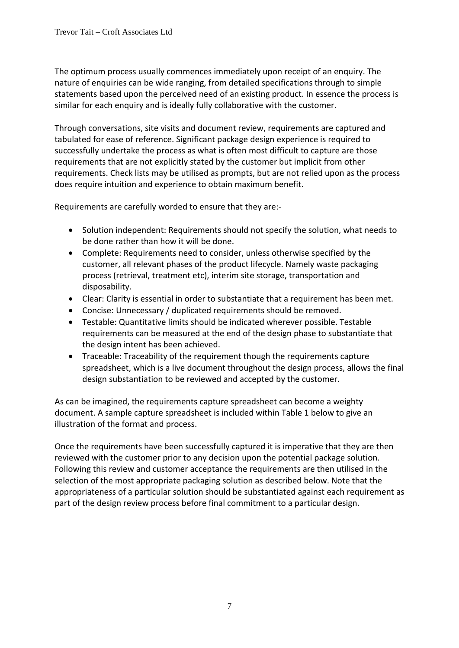The optimum process usually commences immediately upon receipt of an enquiry. The nature of enquiries can be wide ranging, from detailed specifications through to simple statements based upon the perceived need of an existing product. In essence the process is similar for each enquiry and is ideally fully collaborative with the customer.

Through conversations, site visits and document review, requirements are captured and tabulated for ease of reference. Significant package design experience is required to successfully undertake the process as what is often most difficult to capture are those requirements that are not explicitly stated by the customer but implicit from other requirements. Check lists may be utilised as prompts, but are not relied upon as the process does require intuition and experience to obtain maximum benefit.

Requirements are carefully worded to ensure that they are:-

- Solution independent: Requirements should not specify the solution, what needs to be done rather than how it will be done.
- Complete: Requirements need to consider, unless otherwise specified by the customer, all relevant phases of the product lifecycle. Namely waste packaging process (retrieval, treatment etc), interim site storage, transportation and disposability.
- Clear: Clarity is essential in order to substantiate that a requirement has been met.
- Concise: Unnecessary / duplicated requirements should be removed.
- Testable: Quantitative limits should be indicated wherever possible. Testable requirements can be measured at the end of the design phase to substantiate that the design intent has been achieved.
- Traceable: Traceability of the requirement though the requirements capture spreadsheet, which is a live document throughout the design process, allows the final design substantiation to be reviewed and accepted by the customer.

As can be imagined, the requirements capture spreadsheet can become a weighty document. A sample capture spreadsheet is included within Table 1 below to give an illustration of the format and process.

Once the requirements have been successfully captured it is imperative that they are then reviewed with the customer prior to any decision upon the potential package solution. Following this review and customer acceptance the requirements are then utilised in the selection of the most appropriate packaging solution as described below. Note that the appropriateness of a particular solution should be substantiated against each requirement as part of the design review process before final commitment to a particular design.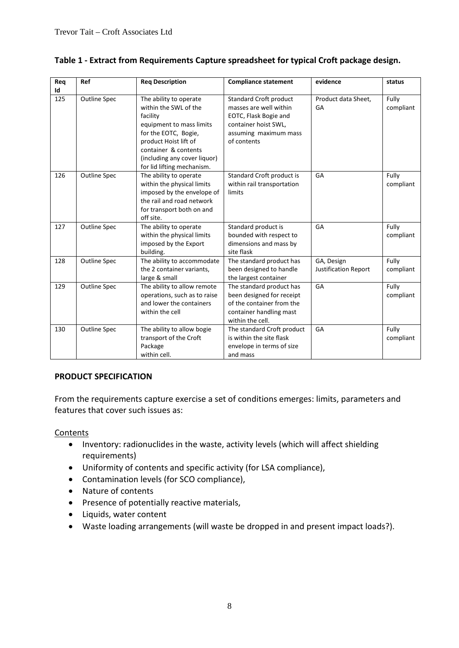| Req | Ref                 | <b>Req Description</b>                                                                                                                                                                                                         | <b>Compliance statement</b>                                                                                                               | evidence                                  | status             |
|-----|---------------------|--------------------------------------------------------------------------------------------------------------------------------------------------------------------------------------------------------------------------------|-------------------------------------------------------------------------------------------------------------------------------------------|-------------------------------------------|--------------------|
| Id  |                     |                                                                                                                                                                                                                                |                                                                                                                                           |                                           |                    |
| 125 | <b>Outline Spec</b> | The ability to operate<br>within the SWL of the<br>facility<br>equipment to mass limits<br>for the EOTC, Bogie,<br>product Hoist lift of<br>container & contents<br>(including any cover liquor)<br>for lid lifting mechanism. | Standard Croft product<br>masses are well within<br>EOTC, Flask Bogie and<br>container hoist SWL,<br>assuming maximum mass<br>of contents | Product data Sheet.<br>GA                 | Fully<br>compliant |
| 126 | <b>Outline Spec</b> | The ability to operate<br>within the physical limits<br>imposed by the envelope of<br>the rail and road network<br>for transport both on and<br>off site.                                                                      | Standard Croft product is<br>within rail transportation<br>limits                                                                         | GA                                        | Fully<br>compliant |
| 127 | <b>Outline Spec</b> | The ability to operate<br>within the physical limits<br>imposed by the Export<br>building.                                                                                                                                     | Standard product is<br>bounded with respect to<br>dimensions and mass by<br>site flask                                                    | GA                                        | Fully<br>compliant |
| 128 | <b>Outline Spec</b> | The ability to accommodate<br>the 2 container variants,<br>large & small                                                                                                                                                       | The standard product has<br>been designed to handle<br>the largest container                                                              | GA, Design<br><b>Justification Report</b> | Fully<br>compliant |
| 129 | <b>Outline Spec</b> | The ability to allow remote<br>operations, such as to raise<br>and lower the containers<br>within the cell                                                                                                                     | The standard product has<br>been designed for receipt<br>of the container from the<br>container handling mast<br>within the cell.         | GA                                        | Fully<br>compliant |
| 130 | <b>Outline Spec</b> | The ability to allow bogie<br>transport of the Croft<br>Package<br>within cell.                                                                                                                                                | The standard Croft product<br>is within the site flask<br>envelope in terms of size<br>and mass                                           | GA                                        | Fully<br>compliant |

# **Table 1 - Extract from Requirements Capture spreadsheet for typical Croft package design.**

## **PRODUCT SPECIFICATION**

From the requirements capture exercise a set of conditions emerges: limits, parameters and features that cover such issues as:

### Contents

- Inventory: radionuclides in the waste, activity levels (which will affect shielding requirements)
- Uniformity of contents and specific activity (for LSA compliance),
- Contamination levels (for SCO compliance),
- Nature of contents
- Presence of potentially reactive materials,
- Liquids, water content
- Waste loading arrangements (will waste be dropped in and present impact loads?).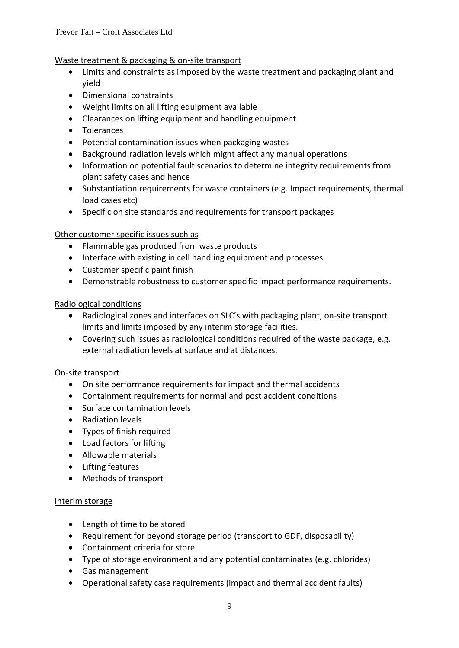## Waste treatment & packaging & on-site transport

- Limits and constraints as imposed by the waste treatment and packaging plant and yield
- Dimensional constraints
- Weight limits on all lifting equipment available
- Clearances on lifting equipment and handling equipment
- Tolerances
- Potential contamination issues when packaging wastes
- Background radiation levels which might affect any manual operations
- Information on potential fault scenarios to determine integrity requirements from plant safety cases and hence
- Substantiation requirements for waste containers (e.g. Impact requirements, thermal load cases etc)
- Specific on site standards and requirements for transport packages

### Other customer specific issues such as

- Flammable gas produced from waste products
- Interface with existing in cell handling equipment and processes.
- Customer specific paint finish
- Demonstrable robustness to customer specific impact performance requirements.

### Radiological conditions

- Radiological zones and interfaces on SLC's with packaging plant, on-site transport limits and limits imposed by any interim storage facilities.
- Covering such issues as radiological conditions required of the waste package, e.g. external radiation levels at surface and at distances.

### On-site transport

- On site performance requirements for impact and thermal accidents
- Containment requirements for normal and post accident conditions
- Surface contamination levels
- Radiation levels
- Types of finish required
- Load factors for lifting
- Allowable materials
- Lifting features
- Methods of transport

### Interim storage

- Length of time to be stored
- Requirement for beyond storage period (transport to GDF, disposability)
- Containment criteria for store
- Type of storage environment and any potential contaminates (e.g. chlorides)
- Gas management
- Operational safety case requirements (impact and thermal accident faults)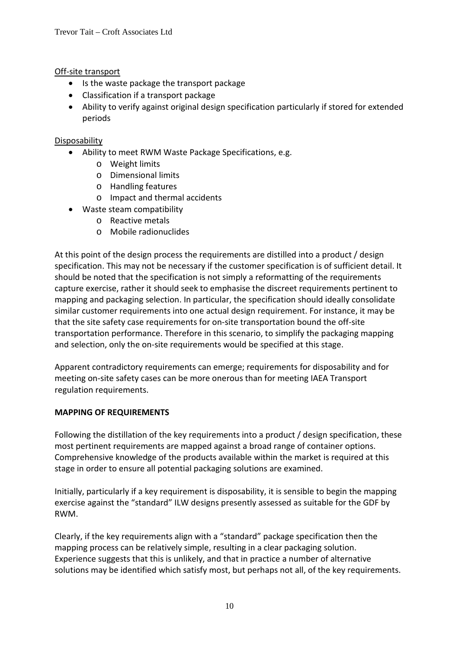## Off-site transport

- Is the waste package the transport package
- Classification if a transport package
- Ability to verify against original design specification particularly if stored for extended periods

## Disposability

- Ability to meet RWM Waste Package Specifications, e.g.
	- o Weight limits
	- o Dimensional limits
	- o Handling features
	- o Impact and thermal accidents
- Waste steam compatibility
	- o Reactive metals
	- o Mobile radionuclides

At this point of the design process the requirements are distilled into a product / design specification. This may not be necessary if the customer specification is of sufficient detail. It should be noted that the specification is not simply a reformatting of the requirements capture exercise, rather it should seek to emphasise the discreet requirements pertinent to mapping and packaging selection. In particular, the specification should ideally consolidate similar customer requirements into one actual design requirement. For instance, it may be that the site safety case requirements for on-site transportation bound the off-site transportation performance. Therefore in this scenario, to simplify the packaging mapping and selection, only the on-site requirements would be specified at this stage.

Apparent contradictory requirements can emerge; requirements for disposability and for meeting on-site safety cases can be more onerous than for meeting IAEA Transport regulation requirements.

## **MAPPING OF REQUIREMENTS**

Following the distillation of the key requirements into a product / design specification, these most pertinent requirements are mapped against a broad range of container options. Comprehensive knowledge of the products available within the market is required at this stage in order to ensure all potential packaging solutions are examined.

Initially, particularly if a key requirement is disposability, it is sensible to begin the mapping exercise against the "standard" ILW designs presently assessed as suitable for the GDF by RWM.

Clearly, if the key requirements align with a "standard" package specification then the mapping process can be relatively simple, resulting in a clear packaging solution. Experience suggests that this is unlikely, and that in practice a number of alternative solutions may be identified which satisfy most, but perhaps not all, of the key requirements.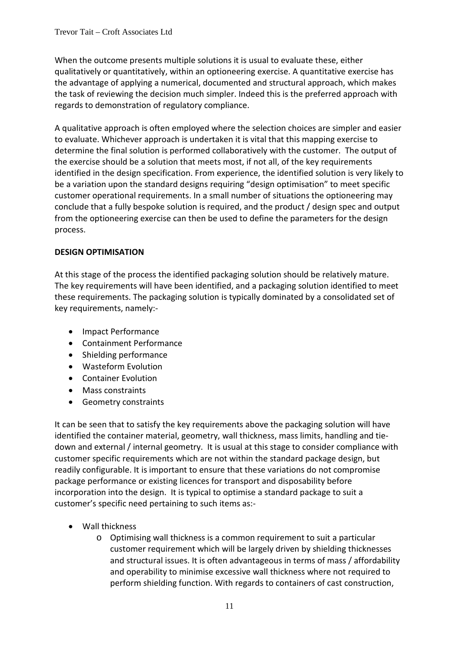When the outcome presents multiple solutions it is usual to evaluate these, either qualitatively or quantitatively, within an optioneering exercise. A quantitative exercise has the advantage of applying a numerical, documented and structural approach, which makes the task of reviewing the decision much simpler. Indeed this is the preferred approach with regards to demonstration of regulatory compliance.

A qualitative approach is often employed where the selection choices are simpler and easier to evaluate. Whichever approach is undertaken it is vital that this mapping exercise to determine the final solution is performed collaboratively with the customer. The output of the exercise should be a solution that meets most, if not all, of the key requirements identified in the design specification. From experience, the identified solution is very likely to be a variation upon the standard designs requiring "design optimisation" to meet specific customer operational requirements. In a small number of situations the optioneering may conclude that a fully bespoke solution is required, and the product / design spec and output from the optioneering exercise can then be used to define the parameters for the design process.

# **DESIGN OPTIMISATION**

At this stage of the process the identified packaging solution should be relatively mature. The key requirements will have been identified, and a packaging solution identified to meet these requirements. The packaging solution is typically dominated by a consolidated set of key requirements, namely:-

- Impact Performance
- Containment Performance
- Shielding performance
- Wasteform Evolution
- Container Evolution
- Mass constraints
- Geometry constraints

It can be seen that to satisfy the key requirements above the packaging solution will have identified the container material, geometry, wall thickness, mass limits, handling and tiedown and external / internal geometry. It is usual at this stage to consider compliance with customer specific requirements which are not within the standard package design, but readily configurable. It is important to ensure that these variations do not compromise package performance or existing licences for transport and disposability before incorporation into the design. It is typical to optimise a standard package to suit a customer's specific need pertaining to such items as:-

- Wall thickness
	- o Optimising wall thickness is a common requirement to suit a particular customer requirement which will be largely driven by shielding thicknesses and structural issues. It is often advantageous in terms of mass / affordability and operability to minimise excessive wall thickness where not required to perform shielding function. With regards to containers of cast construction,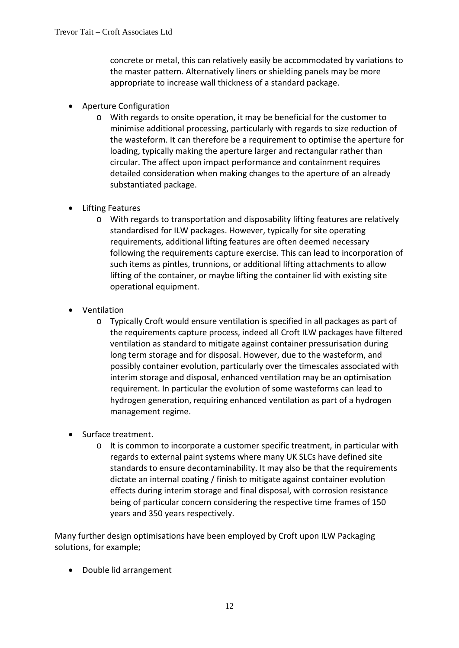concrete or metal, this can relatively easily be accommodated by variations to the master pattern. Alternatively liners or shielding panels may be more appropriate to increase wall thickness of a standard package.

- Aperture Configuration
	- o With regards to onsite operation, it may be beneficial for the customer to minimise additional processing, particularly with regards to size reduction of the wasteform. It can therefore be a requirement to optimise the aperture for loading, typically making the aperture larger and rectangular rather than circular. The affect upon impact performance and containment requires detailed consideration when making changes to the aperture of an already substantiated package.
- Lifting Features
	- o With regards to transportation and disposability lifting features are relatively standardised for ILW packages. However, typically for site operating requirements, additional lifting features are often deemed necessary following the requirements capture exercise. This can lead to incorporation of such items as pintles, trunnions, or additional lifting attachments to allow lifting of the container, or maybe lifting the container lid with existing site operational equipment.
- Ventilation
	- o Typically Croft would ensure ventilation is specified in all packages as part of the requirements capture process, indeed all Croft ILW packages have filtered ventilation as standard to mitigate against container pressurisation during long term storage and for disposal. However, due to the wasteform, and possibly container evolution, particularly over the timescales associated with interim storage and disposal, enhanced ventilation may be an optimisation requirement. In particular the evolution of some wasteforms can lead to hydrogen generation, requiring enhanced ventilation as part of a hydrogen management regime.
- Surface treatment.
	- o It is common to incorporate a customer specific treatment, in particular with regards to external paint systems where many UK SLCs have defined site standards to ensure decontaminability. It may also be that the requirements dictate an internal coating / finish to mitigate against container evolution effects during interim storage and final disposal, with corrosion resistance being of particular concern considering the respective time frames of 150 years and 350 years respectively.

Many further design optimisations have been employed by Croft upon ILW Packaging solutions, for example;

• Double lid arrangement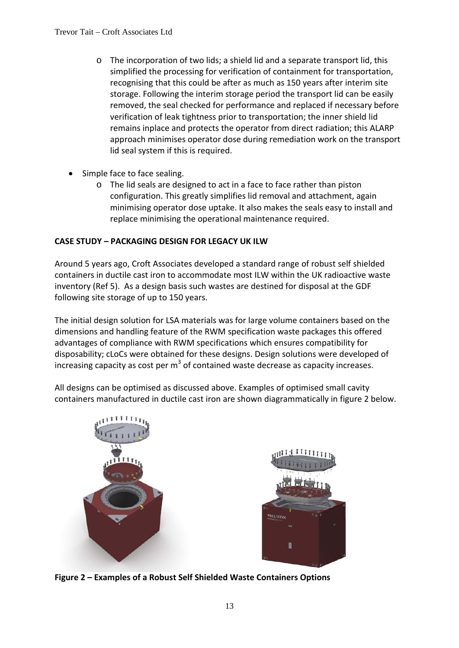- o The incorporation of two lids; a shield lid and a separate transport lid, this simplified the processing for verification of containment for transportation, recognising that this could be after as much as 150 years after interim site storage. Following the interim storage period the transport lid can be easily removed, the seal checked for performance and replaced if necessary before verification of leak tightness prior to transportation; the inner shield lid remains inplace and protects the operator from direct radiation; this ALARP approach minimises operator dose during remediation work on the transport lid seal system if this is required.
- Simple face to face sealing.
	- o The lid seals are designed to act in a face to face rather than piston configuration. This greatly simplifies lid removal and attachment, again minimising operator dose uptake. It also makes the seals easy to install and replace minimising the operational maintenance required.

# **CASE STUDY – PACKAGING DESIGN FOR LEGACY UK ILW**

Around 5 years ago, Croft Associates developed a standard range of robust self shielded containers in ductile cast iron to accommodate most ILW within the UK radioactive waste inventory (Ref 5). As a design basis such wastes are destined for disposal at the GDF following site storage of up to 150 years.

The initial design solution for LSA materials was for large volume containers based on the dimensions and handling feature of the RWM specification waste packages this offered advantages of compliance with RWM specifications which ensures compatibility for disposability; cLoCs were obtained for these designs. Design solutions were developed of increasing capacity as cost per  $m<sup>3</sup>$  of contained waste decrease as capacity increases.

All designs can be optimised as discussed above. Examples of optimised small cavity containers manufactured in ductile cast iron are shown diagrammatically in figure 2 below.





**Figure 2 – Examples of a Robust Self Shielded Waste Containers Options**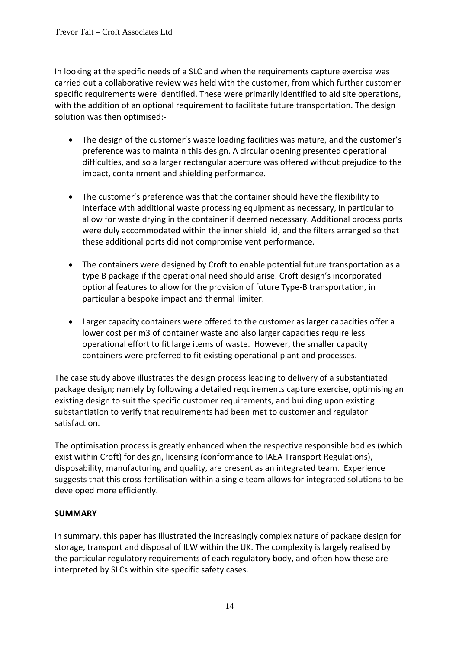In looking at the specific needs of a SLC and when the requirements capture exercise was carried out a collaborative review was held with the customer, from which further customer specific requirements were identified. These were primarily identified to aid site operations, with the addition of an optional requirement to facilitate future transportation. The design solution was then optimised:-

- The design of the customer's waste loading facilities was mature, and the customer's preference was to maintain this design. A circular opening presented operational difficulties, and so a larger rectangular aperture was offered without prejudice to the impact, containment and shielding performance.
- The customer's preference was that the container should have the flexibility to interface with additional waste processing equipment as necessary, in particular to allow for waste drying in the container if deemed necessary. Additional process ports were duly accommodated within the inner shield lid, and the filters arranged so that these additional ports did not compromise vent performance.
- The containers were designed by Croft to enable potential future transportation as a type B package if the operational need should arise. Croft design's incorporated optional features to allow for the provision of future Type-B transportation, in particular a bespoke impact and thermal limiter.
- Larger capacity containers were offered to the customer as larger capacities offer a lower cost per m3 of container waste and also larger capacities require less operational effort to fit large items of waste. However, the smaller capacity containers were preferred to fit existing operational plant and processes.

The case study above illustrates the design process leading to delivery of a substantiated package design; namely by following a detailed requirements capture exercise, optimising an existing design to suit the specific customer requirements, and building upon existing substantiation to verify that requirements had been met to customer and regulator satisfaction.

The optimisation process is greatly enhanced when the respective responsible bodies (which exist within Croft) for design, licensing (conformance to IAEA Transport Regulations), disposability, manufacturing and quality, are present as an integrated team. Experience suggests that this cross-fertilisation within a single team allows for integrated solutions to be developed more efficiently.

# **SUMMARY**

In summary, this paper has illustrated the increasingly complex nature of package design for storage, transport and disposal of ILW within the UK. The complexity is largely realised by the particular regulatory requirements of each regulatory body, and often how these are interpreted by SLCs within site specific safety cases.